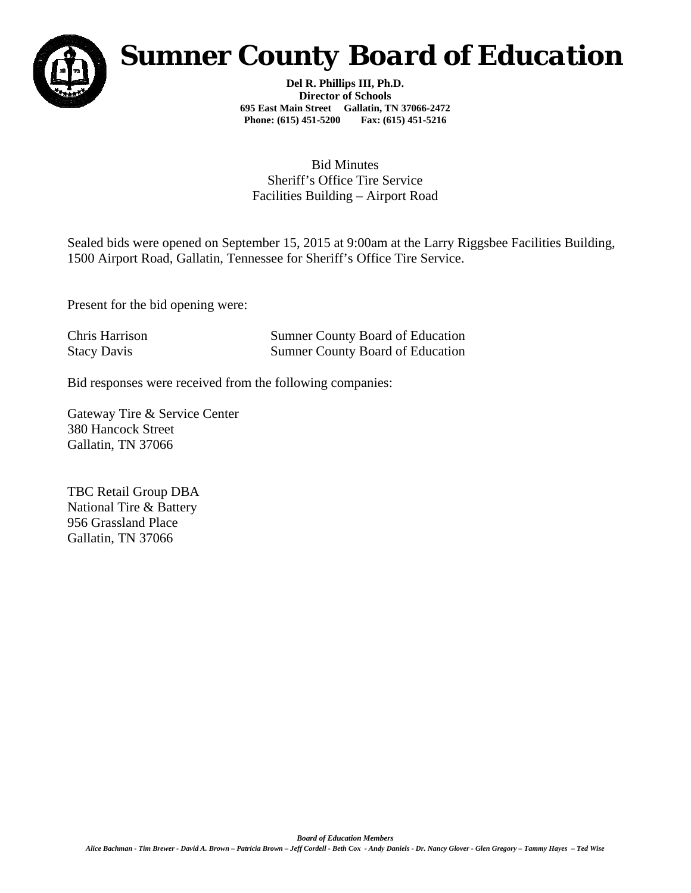

## *Sumner County Board of Education*

**Del R. Phillips III, Ph.D. Director of Schools 695 East Main Street Gallatin, TN 37066-2472 Phone: (615) 451-5200 Fax: (615) 451-5216** 

## Bid Minutes Sheriff's Office Tire Service Facilities Building – Airport Road

Sealed bids were opened on September 15, 2015 at 9:00am at the Larry Riggsbee Facilities Building, 1500 Airport Road, Gallatin, Tennessee for Sheriff's Office Tire Service.

Present for the bid opening were:

Chris Harrison Sumner County Board of Education Stacy Davis Sumner County Board of Education

Bid responses were received from the following companies:

Gateway Tire & Service Center 380 Hancock Street Gallatin, TN 37066

TBC Retail Group DBA National Tire & Battery 956 Grassland Place Gallatin, TN 37066